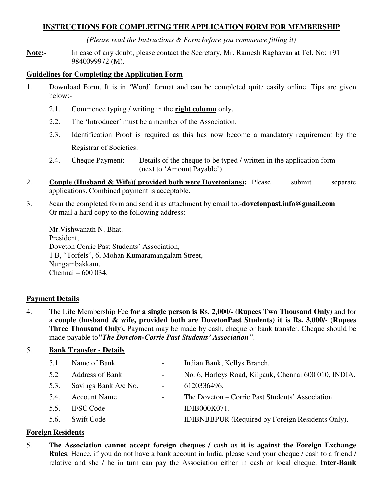# **INSTRUCTIONS FOR COMPLETING THE APPLICATION FORM FOR MEMBERSHIP**

*(Please read the Instructions & Form before you commence filling it)* 

**Note:-** In case of any doubt, please contact the Secretary, Mr. Ramesh Raghavan at Tel. No: +91 9840099972 (M).

#### **Guidelines for Completing the Application Form**

- 1. Download Form. It is in 'Word' format and can be completed quite easily online. Tips are given below:-
	- 2.1. Commence typing / writing in the **right column** only.
	- 2.2. The 'Introducer' must be a member of the Association.
	- 2.3. Identification Proof is required as this has now become a mandatory requirement by the Registrar of Societies.
	- 2.4. Cheque Payment: Details of the cheque to be typed / written in the application form (next to 'Amount Payable').
- 2. **Couple (Husband & Wife) (provided both were Dovetonians):** Please submit separate applications. Combined payment is acceptable.
- 3. Scan the completed form and send it as attachment by email to:-**dovetonpast.info@gmail.com**  Or mail a hard copy to the following address:

 Mr.Vishwanath N. Bhat, President, Doveton Corrie Past Students' Association, 1 B, "Torfels", 6, Mohan Kumaramangalam Street, Nungambakkam, Chennai – 600 034.

### **Payment Details**

4. The Life Membership Fee **for a single person is Rs. 2,000/- (Rupees Two Thousand Only)** and for a **couple (husband & wife, provided both are DovetonPast Students) it is Rs. 3,000/- (Rupees Three Thousand Only).** Payment may be made by cash, cheque or bank transfer. Cheque should be made payable to**"***The Doveton-Corrie Past Students' Association"*.

# 5. **Bank Transfer - Details**

| 5.1  | Name of Bank           |                          | Indian Bank, Kellys Branch.                             |
|------|------------------------|--------------------------|---------------------------------------------------------|
| 5.2  | <b>Address of Bank</b> | $\overline{\phantom{0}}$ | No. 6, Harleys Road, Kilpauk, Chennai 600 010, INDIA.   |
| 5.3. | Savings Bank A/c No.   | $\overline{a}$           | 6120336496.                                             |
| 5.4. | <b>Account Name</b>    | $\sim$                   | The Doveton – Corrie Past Students' Association.        |
| 5.5. | <b>IFSC</b> Code       |                          | IDIB000K071.                                            |
| 5.6. | <b>Swift Code</b>      |                          | <b>IDIBNBBPUR</b> (Required by Foreign Residents Only). |
|      |                        |                          |                                                         |

### **Foreign Residents**

5. **The Association cannot accept foreign cheques / cash as it is against the Foreign Exchange Rules**. Hence, if you do not have a bank account in India, please send your cheque / cash to a friend / relative and she / he in turn can pay the Association either in cash or local cheque. **Inter-Bank**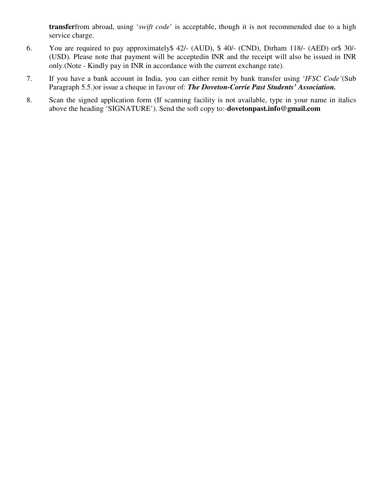**transfer**from abroad, using '*swift code*' is acceptable, though it is not recommended due to a high service charge.

- 6. You are required to pay approximately\$ 42/- (AUD), \$ 40/- (CND), Dirham 118/- (AED) or\$ 30/- (USD). Please note that payment will be acceptedin INR and the receipt will also be issued in INR only.(Note - Kindly pay in INR in accordance with the current exchange rate).
- 7. If you have a bank account in India, you can either remit by bank transfer using '*IFSC Code'*(Sub Paragraph 5.5.)or issue a cheque in favour of: *The Doveton-Corrie Past Students' Association.*
- 8. Scan the signed application form (If scanning facility is not available, type in your name in italics above the heading 'SIGNATURE'). Send the soft copy to:-**dovetonpast.info@gmail.com**